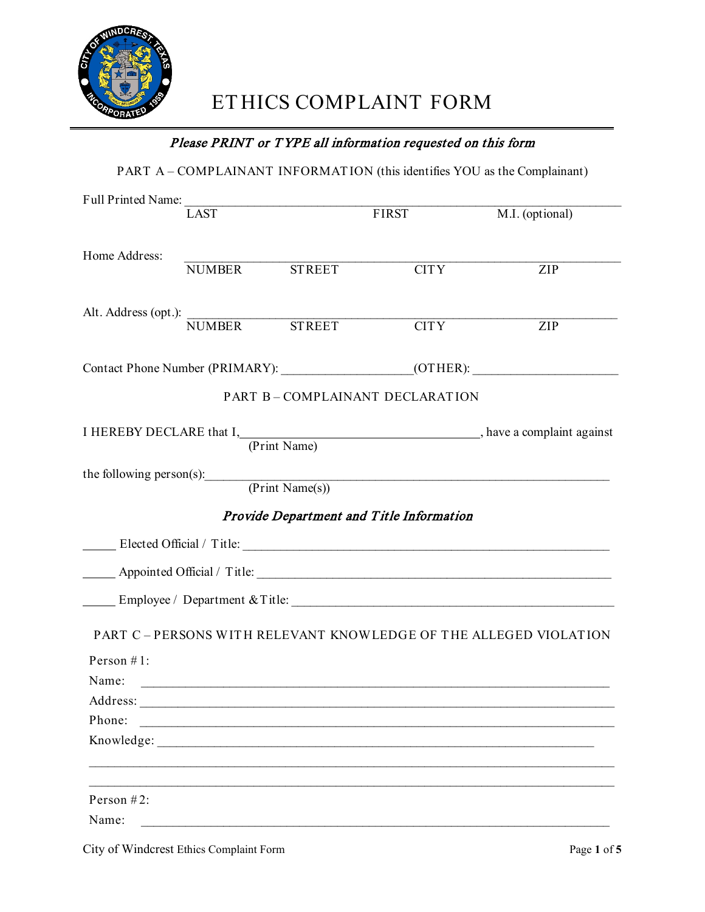

# Please PRINT or T YPE all information requested on this form

PART A – COMPLAINANT INFORMAT ION (this identifies YOU as the Complainant)

|                                    | $\overline{LAST}$ |               | FIRST                                           | M.I. (optional)                                                 |
|------------------------------------|-------------------|---------------|-------------------------------------------------|-----------------------------------------------------------------|
| Home Address:                      |                   | NUMBER STREET | <b>CITY</b>                                     | ZIP                                                             |
| Alt. Address (opt.): NUMBER STREET |                   |               | $\overline{CITY}$                               | ZIP                                                             |
|                                    |                   |               |                                                 |                                                                 |
|                                    |                   |               | PART B-COMPLAINANT DECLARATION                  |                                                                 |
|                                    |                   |               |                                                 | I HEREBY DECLARE that I, (Print Name), have a complaint against |
|                                    |                   |               | the following person(s): (Print Name(s))        |                                                                 |
|                                    |                   |               | <b>Provide Department and Title Information</b> |                                                                 |
|                                    |                   |               |                                                 |                                                                 |
|                                    |                   |               | Appointed Official / Title: 1998                |                                                                 |
|                                    |                   |               |                                                 | Employee / Department & Title:                                  |
|                                    |                   |               |                                                 | PART C-PERSONS WITH RELEVANT KNOWLEDGE OF THE ALLEGED VIOLATION |
| Person $#1$ :                      |                   |               |                                                 |                                                                 |
| Name:                              |                   |               |                                                 |                                                                 |
| Address:                           |                   |               |                                                 |                                                                 |
| Phone:                             |                   |               |                                                 |                                                                 |
| Knowledge:                         |                   |               |                                                 |                                                                 |
| Person #2:                         |                   |               |                                                 |                                                                 |
| Name:                              |                   |               |                                                 |                                                                 |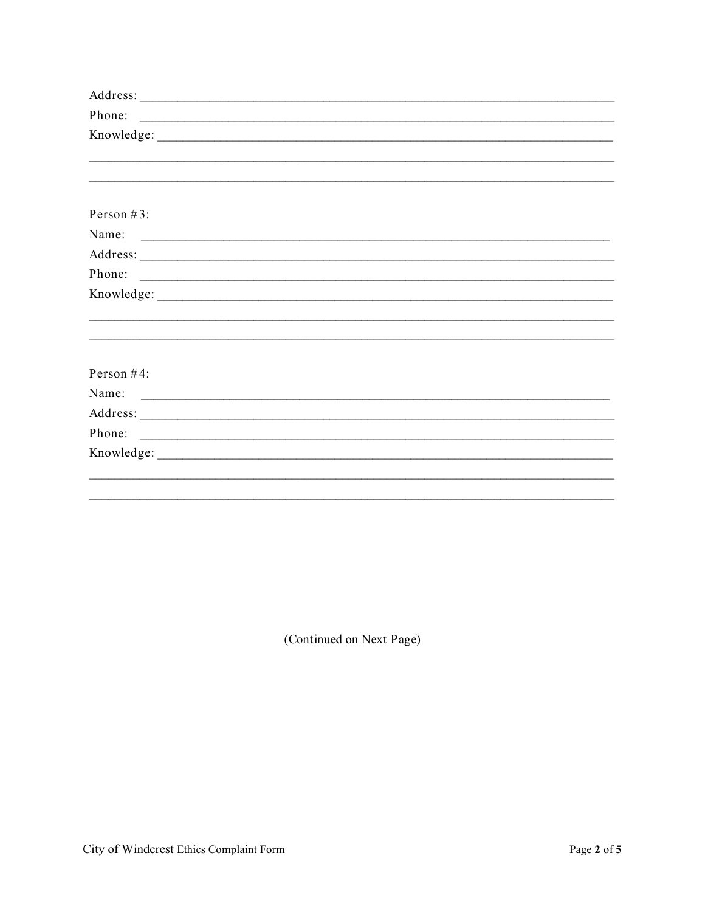| Phone:        |                                                                                                                      |  |  |  |
|---------------|----------------------------------------------------------------------------------------------------------------------|--|--|--|
|               |                                                                                                                      |  |  |  |
|               |                                                                                                                      |  |  |  |
|               |                                                                                                                      |  |  |  |
|               |                                                                                                                      |  |  |  |
| Person $#3$ : |                                                                                                                      |  |  |  |
| Name:         | <u> Alexandria de la contrada de la contrada de la contrada de la contrada de la contrada de la contrada de la c</u> |  |  |  |
|               |                                                                                                                      |  |  |  |
| Phone:        | <u> 2000 - Januar Alexander (h. 1888).</u>                                                                           |  |  |  |
|               |                                                                                                                      |  |  |  |
|               |                                                                                                                      |  |  |  |
|               |                                                                                                                      |  |  |  |
|               |                                                                                                                      |  |  |  |
| Person $#4$ : |                                                                                                                      |  |  |  |
| Name:         |                                                                                                                      |  |  |  |
|               |                                                                                                                      |  |  |  |
| Phone:        |                                                                                                                      |  |  |  |
|               |                                                                                                                      |  |  |  |
|               |                                                                                                                      |  |  |  |
|               |                                                                                                                      |  |  |  |
|               |                                                                                                                      |  |  |  |

(Continued on Next Page)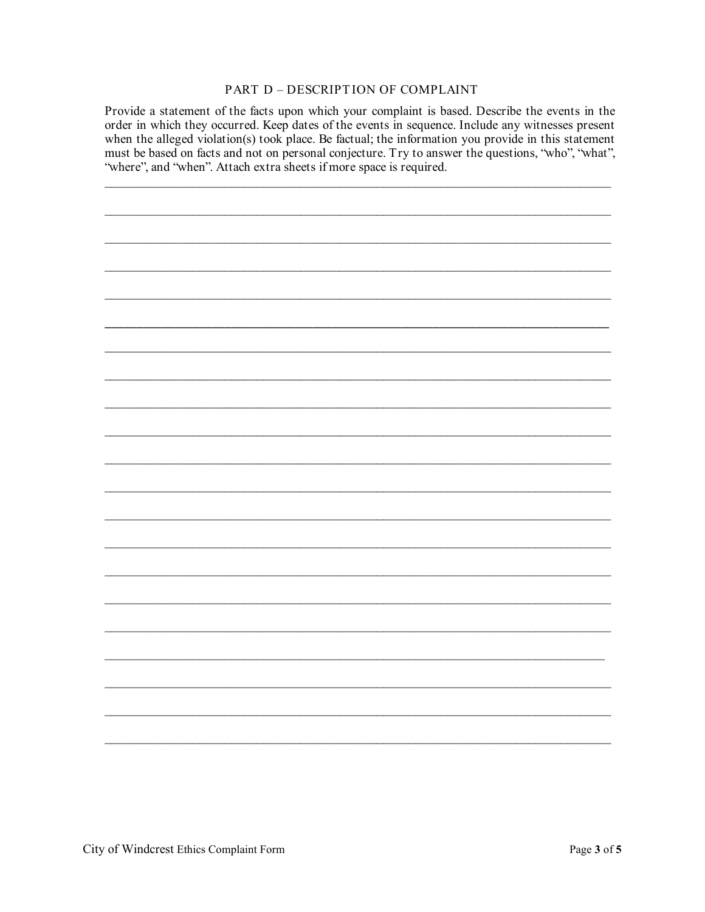#### PART D - DESCRIPTION OF COMPLAINT

Provide a statement of the facts upon which your complaint is based. Describe the events in the order in which they occurred. Keep dates of the events in sequence. Include any witnesses present when the alleged violation(s) took place. Be factual; the information you provide in this statement must be based on facts and not on personal conjecture. Try to answer the questions, "who", "what", "where", and "when". Attach extra sheets if more space is required.

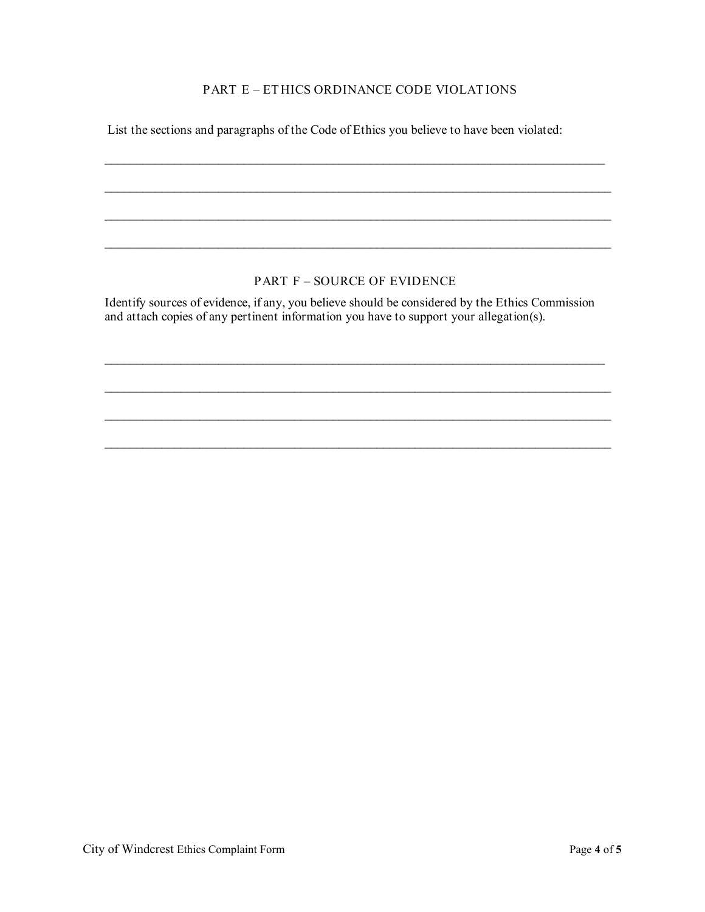#### PART E – ET HICS ORDINANCE CODE VIOLAT IONS

 $\_$  , and the contribution of the contribution of the contribution of the contribution of  $\mathcal{L}_\text{max}$ 

 $\_$  , and the contribution of the contribution of the contribution of the contribution of the contribution of  $\mathcal{L}_\text{max}$ 

 $\_$  , and the contribution of the contribution of the contribution of the contribution of the contribution of  $\mathcal{L}_\text{max}$ 

\_\_\_\_\_\_\_\_\_\_\_\_\_\_\_\_\_\_\_\_\_\_\_\_\_\_\_\_\_\_\_\_\_\_\_\_\_\_\_\_\_\_\_\_\_\_\_\_\_\_\_\_\_\_\_\_\_\_\_\_\_\_\_\_\_\_\_\_\_\_\_\_\_\_\_\_\_\_\_\_

List the sections and paragraphs of the Code of Ethics you believe to have been violated:

## PART F – SOURCE OF EVIDENCE

Identify sources of evidence, if any, you believe should be considered by the Ethics Commission and attach copies of any pertinent information you have to support your allegation(s).

 $\_$  , and the contribution of the contribution of the contribution of the contribution of  $\mathcal{L}_\text{max}$ 

 $\_$  , and the contribution of the contribution of the contribution of the contribution of the contribution of  $\mathcal{L}_\text{max}$ 

 $\_$  , and the contribution of the contribution of the contribution of the contribution of the contribution of  $\mathcal{L}_\text{max}$ 

 $\_$  , and the set of the set of the set of the set of the set of the set of the set of the set of the set of the set of the set of the set of the set of the set of the set of the set of the set of the set of the set of th